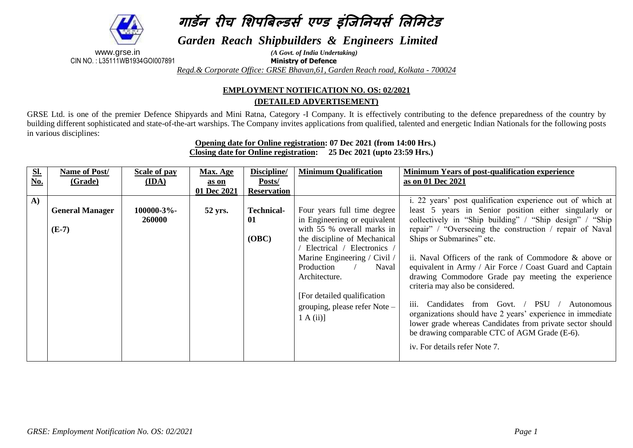# **गार्डने रीच शिपबिल्र्डर्स एण्र्ड इंजिननयर्स शऱशिटेर्ड**

*Garden Reach Shipbuilders & Engineers Limited*

www.grse.in<br>
2.135111WB1934GOl007891<br> *Ministry of Defence* CIN NO. : L35111WB1934GOI007891 **Ministry of Defence**

*Regd.& Corporate Office: GRSE Bhavan,61, Garden Reach road, Kolkata - 700024*

## **EMPLOYMENT NOTIFICATION NO. OS: 02/2021 (DETAILED ADVERTISEMENT)**

GRSE Ltd. is one of the premier Defence Shipyards and Mini Ratna, Category -I Company. It is effectively contributing to the defence preparedness of the country by building different sophisticated and state-of-the-art warships. The Company invites applications from qualified, talented and energetic Indian Nationals for the following posts in various disciplines:

#### **Opening date for Online registration: 07 Dec 2021 (from 14:00 Hrs.) Closing date for Online registration: 25 Dec 2021 (upto 23:59 Hrs.)**

| S <sub>L</sub> | Name of Post/          | Scale of pay  | <b>Max. Age</b> | Discipline/        | <b>Minimum Qualification</b>  | Minimum Years of post-qualification experience                    |
|----------------|------------------------|---------------|-----------------|--------------------|-------------------------------|-------------------------------------------------------------------|
| <u>No.</u>     | (Grade)                | (IDA)         | as on           | Posts/             |                               | as on 01 Dec 2021                                                 |
|                |                        |               | 01 Dec 2021     | <b>Reservation</b> |                               |                                                                   |
| $\bf{A}$       |                        |               |                 |                    |                               | i. 22 years' post qualification experience out of which at        |
|                | <b>General Manager</b> | 100000-3%-    | 52 yrs.         | <b>Technical-</b>  | Four years full time degree   | least 5 years in Senior position either singularly or             |
|                |                        | <b>260000</b> |                 | 01                 | in Engineering or equivalent  | collectively in "Ship building" / "Ship design" / "Ship           |
|                | $(E-7)$                |               |                 |                    | with 55 % overall marks in    | repair" / "Overseeing the construction / repair of Naval          |
|                |                        |               |                 | (OBC)              | the discipline of Mechanical  | Ships or Submarines" etc.                                         |
|                |                        |               |                 |                    | Electrical / Electronics /    |                                                                   |
|                |                        |               |                 |                    | Marine Engineering / Civil /  | ii. Naval Officers of the rank of Commodore & above or            |
|                |                        |               |                 |                    | Production<br>Naval           | equivalent in Army / Air Force / Coast Guard and Captain          |
|                |                        |               |                 |                    | Architecture.                 | drawing Commodore Grade pay meeting the experience                |
|                |                        |               |                 |                    |                               | criteria may also be considered.                                  |
|                |                        |               |                 |                    | [For detailed qualification]  |                                                                   |
|                |                        |               |                 |                    | grouping, please refer Note - | Candidates from Govt. / PSU /<br>Autonomous<br>$\overline{111}$ . |
|                |                        |               |                 |                    | 1 A(ii)                       | organizations should have 2 years' experience in immediate        |
|                |                        |               |                 |                    |                               | lower grade whereas Candidates from private sector should         |
|                |                        |               |                 |                    |                               | be drawing comparable CTC of AGM Grade (E-6).                     |
|                |                        |               |                 |                    |                               | iv. For details refer Note 7.                                     |
|                |                        |               |                 |                    |                               |                                                                   |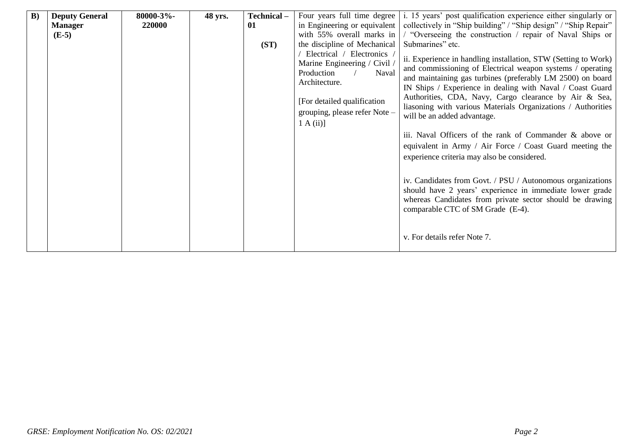| B) | <b>Deputy General</b> | 80000-3%- | 48 yrs. | Technical- | Four years full time degree                                                                                                                                                      | i. 15 years' post qualification experience either singularly or                                                                                                                                                                                                                                                                                                                                                                                                                                                                                                                                                                                                                                                                                                                                                  |
|----|-----------------------|-----------|---------|------------|----------------------------------------------------------------------------------------------------------------------------------------------------------------------------------|------------------------------------------------------------------------------------------------------------------------------------------------------------------------------------------------------------------------------------------------------------------------------------------------------------------------------------------------------------------------------------------------------------------------------------------------------------------------------------------------------------------------------------------------------------------------------------------------------------------------------------------------------------------------------------------------------------------------------------------------------------------------------------------------------------------|
|    | <b>Manager</b>        | 220000    |         | 01         | in Engineering or equivalent                                                                                                                                                     | collectively in "Ship building" / "Ship design" / "Ship Repair"                                                                                                                                                                                                                                                                                                                                                                                                                                                                                                                                                                                                                                                                                                                                                  |
|    | $(E-5)$               |           |         |            | with 55% overall marks in                                                                                                                                                        | / "Overseeing the construction / repair of Naval Ships or                                                                                                                                                                                                                                                                                                                                                                                                                                                                                                                                                                                                                                                                                                                                                        |
|    |                       |           |         | (ST)       | the discipline of Mechanical                                                                                                                                                     | Submarines" etc.                                                                                                                                                                                                                                                                                                                                                                                                                                                                                                                                                                                                                                                                                                                                                                                                 |
|    |                       |           |         |            | Electrical / Electronics<br>Marine Engineering / Civil /<br>Production<br>Naval<br>Architecture.<br>[For detailed qualification]<br>grouping, please refer Note -<br>$1 A(ii)$ ] | ii. Experience in handling installation, STW (Setting to Work)<br>and commissioning of Electrical weapon systems / operating<br>and maintaining gas turbines (preferably LM 2500) on board<br>IN Ships / Experience in dealing with Naval / Coast Guard<br>Authorities, CDA, Navy, Cargo clearance by Air & Sea,<br>liasoning with various Materials Organizations / Authorities<br>will be an added advantage.<br>iii. Naval Officers of the rank of Commander & above or<br>equivalent in Army / Air Force / Coast Guard meeting the<br>experience criteria may also be considered.<br>iv. Candidates from Govt. / PSU / Autonomous organizations<br>should have 2 years' experience in immediate lower grade<br>whereas Candidates from private sector should be drawing<br>comparable CTC of SM Grade (E-4). |
|    |                       |           |         |            |                                                                                                                                                                                  | v. For details refer Note 7.                                                                                                                                                                                                                                                                                                                                                                                                                                                                                                                                                                                                                                                                                                                                                                                     |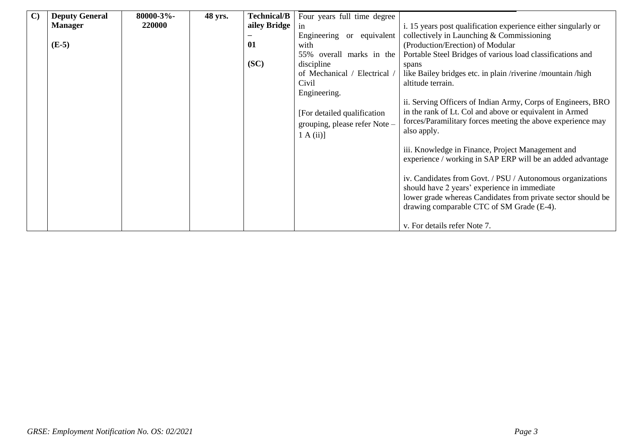| $\mathbf{C}$ | <b>Deputy General</b> | 80000-3%- | 48 yrs. | <b>Technical/B</b> | Four years full time degree   |                                                                |
|--------------|-----------------------|-----------|---------|--------------------|-------------------------------|----------------------------------------------------------------|
|              | <b>Manager</b>        | 220000    |         | ailey Bridge       | in                            | i. 15 years post qualification experience either singularly or |
|              |                       |           |         |                    | Engineering or equivalent     | collectively in Launching & Commissioning                      |
|              | $(E-5)$               |           |         | 01                 | with                          | (Production/Erection) of Modular                               |
|              |                       |           |         |                    | 55% overall marks in the      | Portable Steel Bridges of various load classifications and     |
|              |                       |           |         | (SC)               | discipline                    | spans                                                          |
|              |                       |           |         |                    | of Mechanical / Electrical /  | like Bailey bridges etc. in plain /riverine /mountain /high    |
|              |                       |           |         |                    | Civil                         | altitude terrain.                                              |
|              |                       |           |         |                    | Engineering.                  |                                                                |
|              |                       |           |         |                    |                               | ii. Serving Officers of Indian Army, Corps of Engineers, BRO   |
|              |                       |           |         |                    | [For detailed qualification]  | in the rank of Lt. Col and above or equivalent in Armed        |
|              |                       |           |         |                    | grouping, please refer Note - | forces/Paramilitary forces meeting the above experience may    |
|              |                       |           |         |                    | $1 A(ii)$ ]                   | also apply.                                                    |
|              |                       |           |         |                    |                               |                                                                |
|              |                       |           |         |                    |                               | iii. Knowledge in Finance, Project Management and              |
|              |                       |           |         |                    |                               | experience / working in SAP ERP will be an added advantage     |
|              |                       |           |         |                    |                               |                                                                |
|              |                       |           |         |                    |                               | iv. Candidates from Govt. / PSU / Autonomous organizations     |
|              |                       |           |         |                    |                               | should have 2 years' experience in immediate                   |
|              |                       |           |         |                    |                               | lower grade whereas Candidates from private sector should be   |
|              |                       |           |         |                    |                               | drawing comparable CTC of SM Grade (E-4).                      |
|              |                       |           |         |                    |                               |                                                                |
|              |                       |           |         |                    |                               | v. For details refer Note 7.                                   |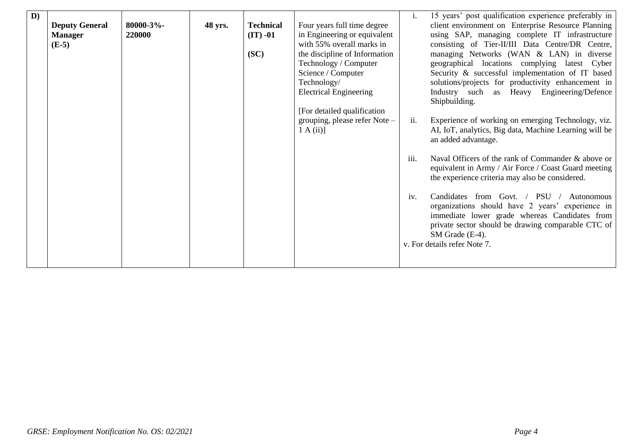| $\mathbf{D}$ | <b>Deputy General</b><br><b>Manager</b><br>$(E-5)$ | $80000 - 3%$<br>220000 | 48 yrs. | <b>Technical</b><br>$(IT) -01$<br>(SC) | Four years full time degree<br>in Engineering or equivalent<br>with 55% overall marks in<br>the discipline of Information<br>Technology / Computer<br>Science / Computer<br>Technology/<br><b>Electrical Engineering</b><br>[For detailed qualification]<br>grouping, please refer Note -<br>1 A(ii) | 1.<br>ii.<br>iii.<br>iv. | 15 years' post qualification experience preferably in<br>client environment on Enterprise Resource Planning<br>using SAP, managing complete IT infrastructure<br>consisting of Tier-II/III Data Centre/DR Centre,<br>managing Networks (WAN & LAN) in diverse<br>geographical locations complying latest Cyber<br>Security & successful implementation of IT based<br>solutions/projects for productivity enhancement in<br>Industry such as Heavy Engineering/Defence<br>Shipbuilding.<br>Experience of working on emerging Technology, viz.<br>AI, IoT, analytics, Big data, Machine Learning will be<br>an added advantage.<br>Naval Officers of the rank of Commander & above or<br>equivalent in Army / Air Force / Coast Guard meeting<br>the experience criteria may also be considered.<br>from Govt. / PSU /<br>Candidates<br>Autonomous<br>organizations should have 2 years' experience in<br>immediate lower grade whereas Candidates from<br>private sector should be drawing comparable CTC of<br>SM Grade (E-4).<br>v. For details refer Note 7. |
|--------------|----------------------------------------------------|------------------------|---------|----------------------------------------|------------------------------------------------------------------------------------------------------------------------------------------------------------------------------------------------------------------------------------------------------------------------------------------------------|--------------------------|-----------------------------------------------------------------------------------------------------------------------------------------------------------------------------------------------------------------------------------------------------------------------------------------------------------------------------------------------------------------------------------------------------------------------------------------------------------------------------------------------------------------------------------------------------------------------------------------------------------------------------------------------------------------------------------------------------------------------------------------------------------------------------------------------------------------------------------------------------------------------------------------------------------------------------------------------------------------------------------------------------------------------------------------------------------------|
|--------------|----------------------------------------------------|------------------------|---------|----------------------------------------|------------------------------------------------------------------------------------------------------------------------------------------------------------------------------------------------------------------------------------------------------------------------------------------------------|--------------------------|-----------------------------------------------------------------------------------------------------------------------------------------------------------------------------------------------------------------------------------------------------------------------------------------------------------------------------------------------------------------------------------------------------------------------------------------------------------------------------------------------------------------------------------------------------------------------------------------------------------------------------------------------------------------------------------------------------------------------------------------------------------------------------------------------------------------------------------------------------------------------------------------------------------------------------------------------------------------------------------------------------------------------------------------------------------------|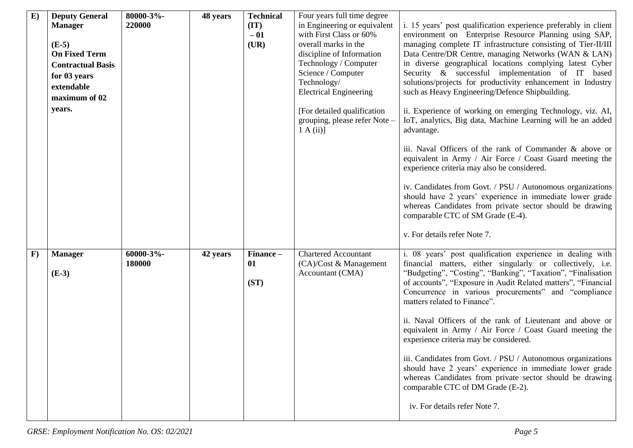| E)           | <b>Deputy General</b><br><b>Manager</b><br>$(E-5)$<br><b>On Fixed Term</b><br><b>Contractual Basis</b><br>for 03 years<br>extendable<br>maximum of 02<br>years. | 80000-3%-<br>220000 | 48 years | <b>Technical</b><br>(TT)<br>$-01$<br>(UR) | Four years full time degree<br>in Engineering or equivalent<br>with First Class or 60%<br>overall marks in the<br>discipline of Information<br>Technology / Computer<br>Science / Computer<br>Technology/<br><b>Electrical Engineering</b><br>[For detailed qualification]<br>grouping, please refer Note -<br>1 A(ii) | i. 15 years' post qualification experience preferably in client<br>environment on Enterprise Resource Planning using SAP,<br>managing complete IT infrastructure consisting of Tier-II/III<br>Data Centre/DR Centre, managing Networks (WAN & LAN)<br>in diverse geographical locations complying latest Cyber<br>Security & successful implementation of IT based<br>solutions/projects for productivity enhancement in Industry<br>such as Heavy Engineering/Defence Shipbuilding.<br>ii. Experience of working on emerging Technology, viz. AI,<br>IoT, analytics, Big data, Machine Learning will be an added<br>advantage.<br>iii. Naval Officers of the rank of Commander & above or<br>equivalent in Army / Air Force / Coast Guard meeting the<br>experience criteria may also be considered.<br>iv. Candidates from Govt. / PSU / Autonomous organizations<br>should have 2 years' experience in immediate lower grade<br>whereas Candidates from private sector should be drawing |
|--------------|-----------------------------------------------------------------------------------------------------------------------------------------------------------------|---------------------|----------|-------------------------------------------|------------------------------------------------------------------------------------------------------------------------------------------------------------------------------------------------------------------------------------------------------------------------------------------------------------------------|---------------------------------------------------------------------------------------------------------------------------------------------------------------------------------------------------------------------------------------------------------------------------------------------------------------------------------------------------------------------------------------------------------------------------------------------------------------------------------------------------------------------------------------------------------------------------------------------------------------------------------------------------------------------------------------------------------------------------------------------------------------------------------------------------------------------------------------------------------------------------------------------------------------------------------------------------------------------------------------------|
| $\mathbf{F}$ | <b>Manager</b><br>$(E-3)$                                                                                                                                       | 60000-3%-<br>180000 | 42 years | Finance-<br>01<br>(ST)                    | <b>Chartered Accountant</b><br>(CA)/Cost & Management<br>Accountant (CMA)                                                                                                                                                                                                                                              | comparable CTC of SM Grade (E-4).<br>v. For details refer Note 7.<br>i. 08 years' post qualification experience in dealing with<br>financial matters, either singularly or collectively, i.e.<br>"Budgeting", "Costing", "Banking", "Taxation", "Finalisation<br>of accounts", "Exposure in Audit Related matters", "Financial<br>Concurrence in various procurements" and "compliance<br>matters related to Finance".<br>ii. Naval Officers of the rank of Lieutenant and above or<br>equivalent in Army / Air Force / Coast Guard meeting the<br>experience criteria may be considered.<br>iii. Candidates from Govt. / PSU / Autonomous organizations<br>should have 2 years' experience in immediate lower grade<br>whereas Candidates from private sector should be drawing<br>comparable CTC of DM Grade (E-2).<br>iv. For details refer Note 7.                                                                                                                                      |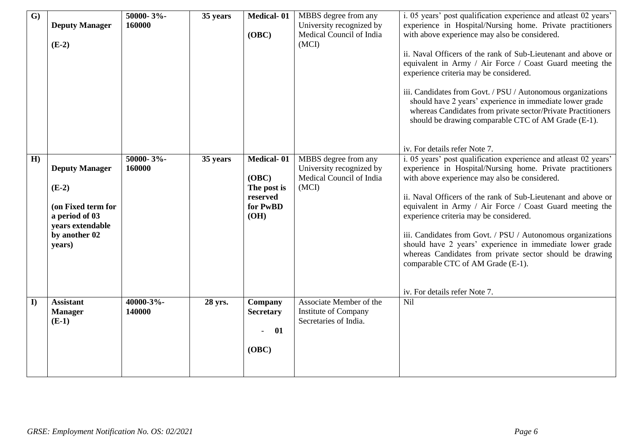| $\overline{\mathbf{G}}$ | <b>Deputy Manager</b><br>$(E-2)$                                                                                        | 50000-3%-<br>160000 | 35 years | <b>Medical-01</b><br>(OBC)                                         | MBBS degree from any<br>University recognized by<br>Medical Council of India<br>(MCI) | i. 05 years' post qualification experience and atleast 02 years'<br>experience in Hospital/Nursing home. Private practitioners<br>with above experience may also be considered.<br>ii. Naval Officers of the rank of Sub-Lieutenant and above or<br>equivalent in Army / Air Force / Coast Guard meeting the<br>experience criteria may be considered.<br>iii. Candidates from Govt. / PSU / Autonomous organizations<br>should have 2 years' experience in immediate lower grade<br>whereas Candidates from private sector/Private Practitioners<br>should be drawing comparable CTC of AM Grade (E-1).<br>iv. For details refer Note 7. |
|-------------------------|-------------------------------------------------------------------------------------------------------------------------|---------------------|----------|--------------------------------------------------------------------|---------------------------------------------------------------------------------------|-------------------------------------------------------------------------------------------------------------------------------------------------------------------------------------------------------------------------------------------------------------------------------------------------------------------------------------------------------------------------------------------------------------------------------------------------------------------------------------------------------------------------------------------------------------------------------------------------------------------------------------------|
| H)                      | <b>Deputy Manager</b><br>$(E-2)$<br>(on Fixed term for<br>a period of 03<br>years extendable<br>by another 02<br>years) | 50000-3%-<br>160000 | 35 years | Medical-01<br>(OBC)<br>The post is<br>reserved<br>for PwBD<br>(OH) | MBBS degree from any<br>University recognized by<br>Medical Council of India<br>(MCI) | i. 05 years' post qualification experience and atleast 02 years'<br>experience in Hospital/Nursing home. Private practitioners<br>with above experience may also be considered.<br>ii. Naval Officers of the rank of Sub-Lieutenant and above or<br>equivalent in Army / Air Force / Coast Guard meeting the<br>experience criteria may be considered.<br>iii. Candidates from Govt. / PSU / Autonomous organizations<br>should have 2 years' experience in immediate lower grade<br>whereas Candidates from private sector should be drawing<br>comparable CTC of AM Grade (E-1).<br>iv. For details refer Note 7.                       |
| $\bf{I}$                | <b>Assistant</b><br><b>Manager</b><br>$(E-1)$                                                                           | 40000-3%-<br>140000 | 28 yrs.  | Company<br><b>Secretary</b><br>01<br>(OBC)                         | Associate Member of the<br>Institute of Company<br>Secretaries of India.              | <b>Nil</b>                                                                                                                                                                                                                                                                                                                                                                                                                                                                                                                                                                                                                                |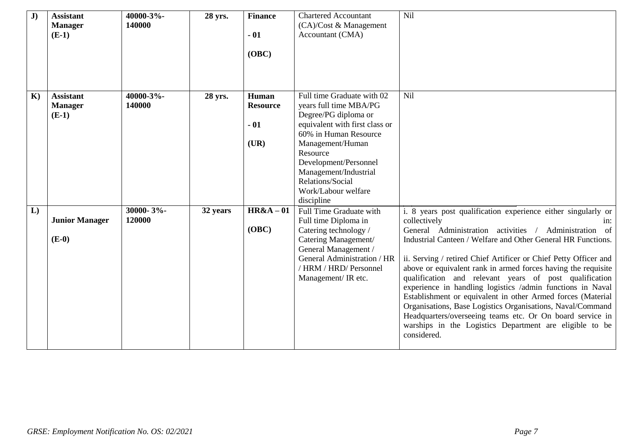| J)           | <b>Assistant</b><br><b>Manager</b><br>$(E-1)$ | 40000-3%-<br>140000 | 28 yrs.  | <b>Finance</b><br>$-01$<br>(OBC)          | <b>Chartered Accountant</b><br>(CA)/Cost & Management<br>Accountant (CMA)                                                                                                                                                                                                          | Nil                                                                                                                                                                                                                                                                                                                                                                                                                                                                                                                                                                                                                                                                                                                                               |
|--------------|-----------------------------------------------|---------------------|----------|-------------------------------------------|------------------------------------------------------------------------------------------------------------------------------------------------------------------------------------------------------------------------------------------------------------------------------------|---------------------------------------------------------------------------------------------------------------------------------------------------------------------------------------------------------------------------------------------------------------------------------------------------------------------------------------------------------------------------------------------------------------------------------------------------------------------------------------------------------------------------------------------------------------------------------------------------------------------------------------------------------------------------------------------------------------------------------------------------|
| $\mathbf{K}$ | <b>Assistant</b><br><b>Manager</b><br>$(E-1)$ | 40000-3%-<br>140000 | 28 yrs.  | Human<br><b>Resource</b><br>$-01$<br>(UR) | Full time Graduate with 02<br>years full time MBA/PG<br>Degree/PG diploma or<br>equivalent with first class or<br>60% in Human Resource<br>Management/Human<br>Resource<br>Development/Personnel<br>Management/Industrial<br>Relations/Social<br>Work/Labour welfare<br>discipline | Nil                                                                                                                                                                                                                                                                                                                                                                                                                                                                                                                                                                                                                                                                                                                                               |
| L)           | <b>Junior Manager</b><br>$(E-0)$              | 30000-3%-<br>120000 | 32 years | $H R & A - 01$<br>(OBC)                   | Full Time Graduate with<br>Full time Diploma in<br>Catering technology /<br>Catering Management/<br>General Management /<br>General Administration / HR<br>/ HRM / HRD/ Personnel<br>Management/ IR etc.                                                                           | i. 8 years post qualification experience either singularly or<br>collectively<br>$1n$ :<br>General Administration activities / Administration of<br>Industrial Canteen / Welfare and Other General HR Functions.<br>ii. Serving / retired Chief Artificer or Chief Petty Officer and<br>above or equivalent rank in armed forces having the requisite<br>qualification and relevant years of post qualification<br>experience in handling logistics /admin functions in Naval<br>Establishment or equivalent in other Armed forces (Material<br>Organisations, Base Logistics Organisations, Naval/Command<br>Headquarters/overseeing teams etc. Or On board service in<br>warships in the Logistics Department are eligible to be<br>considered. |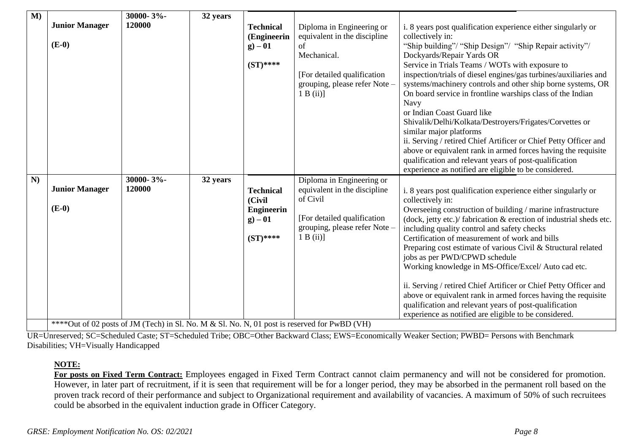| $\overline{\mathbf{M}}$ | <b>Junior Manager</b><br>$(E-0)$ | 30000-3%-<br>120000 | 32 years | <b>Technical</b><br>(Engineerin<br>$g) - 01$<br>$(ST)$ ****                | Diploma in Engineering or<br>equivalent in the discipline<br>of<br>Mechanical.<br>[For detailed qualification]<br>grouping, please refer Note -<br>1 B (ii)                                                                                                                                                                                                                                       | i. 8 years post qualification experience either singularly or<br>collectively in:<br>"Ship building"/ "Ship Design"/ "Ship Repair activity"/<br>Dockyards/Repair Yards OR<br>Service in Trials Teams / WOTs with exposure to<br>inspection/trials of diesel engines/gas turbines/auxiliaries and<br>systems/machinery controls and other ship borne systems, OR<br>On board service in frontline warships class of the Indian<br><b>Navy</b><br>or Indian Coast Guard like<br>Shivalik/Delhi/Kolkata/Destroyers/Frigates/Corvettes or<br>similar major platforms<br>ii. Serving / retired Chief Artificer or Chief Petty Officer and<br>above or equivalent rank in armed forces having the requisite<br>qualification and relevant years of post-qualification<br>experience as notified are eligible to be considered. |
|-------------------------|----------------------------------|---------------------|----------|----------------------------------------------------------------------------|---------------------------------------------------------------------------------------------------------------------------------------------------------------------------------------------------------------------------------------------------------------------------------------------------------------------------------------------------------------------------------------------------|--------------------------------------------------------------------------------------------------------------------------------------------------------------------------------------------------------------------------------------------------------------------------------------------------------------------------------------------------------------------------------------------------------------------------------------------------------------------------------------------------------------------------------------------------------------------------------------------------------------------------------------------------------------------------------------------------------------------------------------------------------------------------------------------------------------------------|
| N)                      | <b>Junior Manager</b><br>$(E-0)$ | 30000-3%-<br>120000 | 32 years | <b>Technical</b><br>(Civil<br><b>Engineerin</b><br>$g - 01$<br>$(ST)$ **** | Diploma in Engineering or<br>equivalent in the discipline<br>of Civil<br>[For detailed qualification<br>grouping, please refer Note -<br>1 B (ii)<br>**** $O_{n+1}$ of $O_{n}$ needs of $IM$ (Teah) in $Cl$ M <sub>2</sub> M <sub>2</sub> M <sub>2</sub> C1 M <sub>2</sub> M <sub>2</sub> M <sub>2</sub> M <sub>2</sub> M <sub>2</sub> M <sub>3</sub> is necessary of fan DryDD <sub>1</sub> (MI) | i. 8 years post qualification experience either singularly or<br>collectively in:<br>Overseeing construction of building / marine infrastructure<br>(dock, jetty etc.)/ fabrication & erection of industrial sheds etc.<br>including quality control and safety checks<br>Certification of measurement of work and bills<br>Preparing cost estimate of various Civil & Structural related<br>jobs as per PWD/CPWD schedule<br>Working knowledge in MS-Office/Excel/Auto cad etc.<br>ii. Serving / retired Chief Artificer or Chief Petty Officer and<br>above or equivalent rank in armed forces having the requisite<br>qualification and relevant years of post-qualification<br>experience as notified are eligible to be considered.                                                                                 |

\*\*\*\*Out of 02 posts of JM (Tech) in Sl. No. M & Sl. No. N, 01 post is reserved for PwBD (VH)

UR=Unreserved; SC=Scheduled Caste; ST=Scheduled Tribe; OBC=Other Backward Class; EWS=Economically Weaker Section; PWBD= Persons with Benchmark Disabilities; VH=Visually Handicapped

### **NOTE:**

**For posts on Fixed Term Contract:** Employees engaged in Fixed Term Contract cannot claim permanency and will not be considered for promotion. However, in later part of recruitment, if it is seen that requirement will be for a longer period, they may be absorbed in the permanent roll based on the proven track record of their performance and subject to Organizational requirement and availability of vacancies. A maximum of 50% of such recruitees could be absorbed in the equivalent induction grade in Officer Category.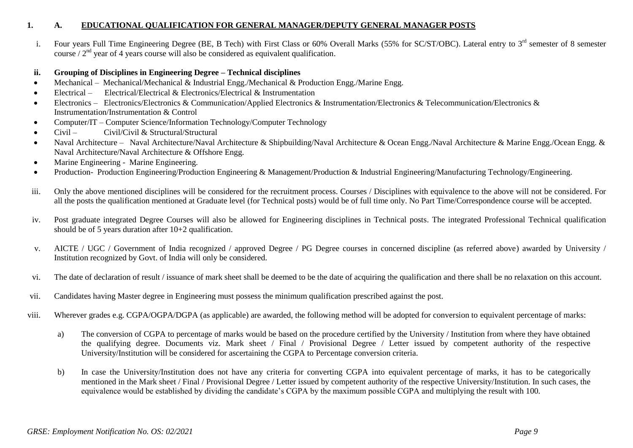#### **1. A. EDUCATIONAL QUALIFICATION FOR GENERAL MANAGER/DEPUTY GENERAL MANAGER POSTS**

i. Four years Full Time Engineering Degree (BE, B Tech) with First Class or 60% Overall Marks (55% for SC/ST/OBC). Lateral entry to 3<sup>rd</sup> semester of 8 semester course  $/2<sup>nd</sup>$  year of 4 years course will also be considered as equivalent qualification.

#### **ii. Grouping of Disciplines in Engineering Degree – Technical disciplines**

- Mechanical Mechanical/Mechanical & Industrial Engg./Mechanical & Production Engg./Marine Engg.
- Electrical Electrical/Electrical & Electronics/Electrical & Instrumentation
- Electronics Electronics/Electronics & Communication/Applied Electronics & Instrumentation/Electronics & Telecommunication/Electronics & Instrumentation/Instrumentation & Control
- Computer/IT Computer Science/Information Technology/Computer Technology
- Civil Civil/Civil & Structural/Structural
- Naval Architecture Naval Architecture/Naval Architecture & Shipbuilding/Naval Architecture & Ocean Engg./Naval Architecture & Marine Engg./Ocean Engg. & Naval Architecture/Naval Architecture & Offshore Engg.
- Marine Engineering Marine Engineering.
- Production- Production Engineering/Production Engineering & Management/Production & Industrial Engineering/Manufacturing Technology/Engineering.
- iii. Only the above mentioned disciplines will be considered for the recruitment process. Courses / Disciplines with equivalence to the above will not be considered. For all the posts the qualification mentioned at Graduate level (for Technical posts) would be of full time only. No Part Time/Correspondence course will be accepted.
- iv. Post graduate integrated Degree Courses will also be allowed for Engineering disciplines in Technical posts. The integrated Professional Technical qualification should be of 5 years duration after 10+2 qualification.
- v. AICTE / UGC / Government of India recognized / approved Degree / PG Degree courses in concerned discipline (as referred above) awarded by University / Institution recognized by Govt. of India will only be considered.
- vi. The date of declaration of result / issuance of mark sheet shall be deemed to be the date of acquiring the qualification and there shall be no relaxation on this account.
- vii. Candidates having Master degree in Engineering must possess the minimum qualification prescribed against the post.
- viii. Wherever grades e.g. CGPA/OGPA/DGPA (as applicable) are awarded, the following method will be adopted for conversion to equivalent percentage of marks:
	- a) The conversion of CGPA to percentage of marks would be based on the procedure certified by the University / Institution from where they have obtained the qualifying degree. Documents viz. Mark sheet / Final / Provisional Degree / Letter issued by competent authority of the respective University/Institution will be considered for ascertaining the CGPA to Percentage conversion criteria.
	- b) In case the University/Institution does not have any criteria for converting CGPA into equivalent percentage of marks, it has to be categorically mentioned in the Mark sheet / Final / Provisional Degree / Letter issued by competent authority of the respective University/Institution. In such cases, the equivalence would be established by dividing the candidate's CGPA by the maximum possible CGPA and multiplying the result with 100.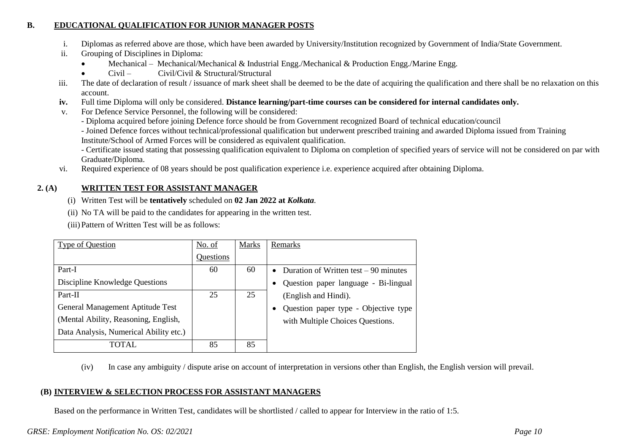### **B. EDUCATIONAL QUALIFICATION FOR JUNIOR MANAGER POSTS**

- i. Diplomas as referred above are those, which have been awarded by University/Institution recognized by Government of India/State Government.
- ii. Grouping of Disciplines in Diploma:
	- Mechanical Mechanical/Mechanical & Industrial Engg./Mechanical & Production Engg./Marine Engg.
	- Civil Civil/Civil & Structural/Structural
- iii. The date of declaration of result / issuance of mark sheet shall be deemed to be the date of acquiring the qualification and there shall be no relaxation on this account.
- **iv.** Full time Diploma will only be considered. **Distance learning/part-time courses can be considered for internal candidates only.**
- v. For Defence Service Personnel, the following will be considered:
	- Diploma acquired before joining Defence force should be from Government recognized Board of technical education/council
	- Joined Defence forces without technical/professional qualification but underwent prescribed training and awarded Diploma issued from Training Institute/School of Armed Forces will be considered as equivalent qualification.
	- Certificate issued stating that possessing qualification equivalent to Diploma on completion of specified years of service will not be considered on par with Graduate/Diploma.
- vi. Required experience of 08 years should be post qualification experience i.e. experience acquired after obtaining Diploma.

### **2. (A) WRITTEN TEST FOR ASSISTANT MANAGER**

- (i) Written Test will be **tentatively** scheduled on **02 Jan 2022 at** *Kolkata.*
- (ii) No TA will be paid to the candidates for appearing in the written test.

(iii)Pattern of Written Test will be as follows:

| Type of Question                       | No. of    | <b>Marks</b> | Remarks                                             |
|----------------------------------------|-----------|--------------|-----------------------------------------------------|
|                                        | Questions |              |                                                     |
| Part-I                                 | 60        | 60           | Duration of Written test $-90$ minutes<br>$\bullet$ |
| Discipline Knowledge Questions         |           |              | Question paper language - Bi-lingual<br>$\bullet$   |
| Part-II                                | 25        | 25           | (English and Hindi).                                |
| General Management Aptitude Test       |           |              | Question paper type - Objective type<br>$\bullet$   |
| (Mental Ability, Reasoning, English,   |           |              | with Multiple Choices Questions.                    |
| Data Analysis, Numerical Ability etc.) |           |              |                                                     |
| TOTAL                                  | 85        | 85           |                                                     |

(iv) In case any ambiguity / dispute arise on account of interpretation in versions other than English, the English version will prevail.

#### **(B) INTERVIEW & SELECTION PROCESS FOR ASSISTANT MANAGERS**

Based on the performance in Written Test, candidates will be shortlisted / called to appear for Interview in the ratio of 1:5.

#### *GRSE: Employment Notification No. OS: 02/2021 Page 10*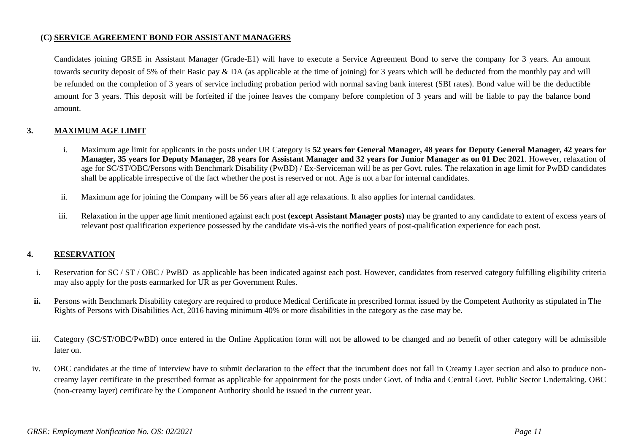#### **(C) SERVICE AGREEMENT BOND FOR ASSISTANT MANAGERS**

Candidates joining GRSE in Assistant Manager (Grade-E1) will have to execute a Service Agreement Bond to serve the company for 3 years. An amount towards security deposit of 5% of their Basic pay & DA (as applicable at the time of joining) for 3 years which will be deducted from the monthly pay and will be refunded on the completion of 3 years of service including probation period with normal saving bank interest (SBI rates). Bond value will be the deductible amount for 3 years. This deposit will be forfeited if the joinee leaves the company before completion of 3 years and will be liable to pay the balance bond amount.

#### **3. MAXIMUM AGE LIMIT**

- i. Maximum age limit for applicants in the posts under UR Category is **52 years for General Manager, 48 years for Deputy General Manager, 42 years for Manager, 35 years for Deputy Manager, 28 years for Assistant Manager and 32 years for Junior Manager as on 01 Dec 2021**. However, relaxation of age for SC/ST/OBC/Persons with Benchmark Disability (PwBD) / Ex-Serviceman will be as per Govt. rules. The relaxation in age limit for PwBD candidates shall be applicable irrespective of the fact whether the post is reserved or not. Age is not a bar for internal candidates.
- ii. Maximum age for joining the Company will be 56 years after all age relaxations. It also applies for internal candidates.
- iii. Relaxation in the upper age limit mentioned against each post **(except Assistant Manager posts)** may be granted to any candidate to extent of excess years of relevant post qualification experience possessed by the candidate vis-à-vis the notified years of post-qualification experience for each post.

#### **4. RESERVATION**

- i. Reservation for SC / ST / OBC / PwBD as applicable has been indicated against each post. However, candidates from reserved category fulfilling eligibility criteria may also apply for the posts earmarked for UR as per Government Rules.
- **ii.** Persons with Benchmark Disability category are required to produce Medical Certificate in prescribed format issued by the Competent Authority as stipulated in The Rights of Persons with Disabilities Act, 2016 having minimum 40% or more disabilities in the category as the case may be.
- iii. Category (SC/ST/OBC/PwBD) once entered in the Online Application form will not be allowed to be changed and no benefit of other category will be admissible later on.
- iv. OBC candidates at the time of interview have to submit declaration to the effect that the incumbent does not fall in Creamy Layer section and also to produce noncreamy layer certificate in the prescribed format as applicable for appointment for the posts under Govt. of India and Central Govt. Public Sector Undertaking. OBC (non-creamy layer) certificate by the Component Authority should be issued in the current year.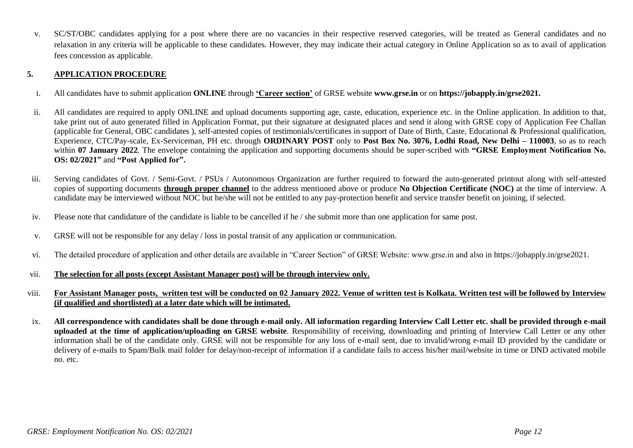v. SC/ST/OBC candidates applying for a post where there are no vacancies in their respective reserved categories, will be treated as General candidates and no relaxation in any criteria will be applicable to these candidates. However, they may indicate their actual category in Online Application so as to avail of application fees concession as applicable.

#### **5. APPLICATION PROCEDURE**

- i. All candidates have to submit application **ONLINE** through **"Career section"** of GRSE website **www.grse.in** or on **https://jobapply.in/grse2021.**
- ii. All candidates are required to apply ONLINE and upload documents supporting age, caste, education, experience etc. in the Online application. In addition to that, take print out of auto generated filled in Application Format, put their signature at designated places and send it along with GRSE copy of Application Fee Challan (applicable for General, OBC candidates ), self-attested copies of testimonials/certificates in support of Date of Birth, Caste, Educational & Professional qualification, Experience, CTC/Pay-scale, Ex-Serviceman, PH etc. through **ORDINARY POST** only to **Post Box No. 3076, Lodhi Road, New Delhi – 110003**, so as to reach within 07 January 2022. The envelope containing the application and supporting documents should be super-scribed with "GRSE Employment Notification No. **OS: 02/2021"** and **"Post Applied for".**
- iii. Serving candidates of Govt. / Semi-Govt. / PSUs / Autonomous Organization are further required to forward the auto-generated printout along with self-attested copies of supporting documents **through proper channel** to the address mentioned above or produce **No Objection Certificate (NOC)** at the time of interview. A candidate may be interviewed without NOC but he/she will not be entitled to any pay-protection benefit and service transfer benefit on joining, if selected.
- iv. Please note that candidature of the candidate is liable to be cancelled if he / she submit more than one application for same post.
- v. GRSE will not be responsible for any delay / loss in postal transit of any application or communication.
- vi. The detailed procedure of application and other details are available in "Career Section" of GRSE Website: www.grse.in and also in https://jobapply.in/grse2021.
- vii. **The selection for all posts (except Assistant Manager post) will be through interview only.**
- viii. **For Assistant Manager posts, written test will be conducted on 02 January 2022. Venue of written test is Kolkata. Written test will be followed by Interview (if qualified and shortlisted) at a later date which will be intimated.**
- ix. **All correspondence with candidates shall be done through e-mail only. All information regarding Interview Call Letter etc. shall be provided through e-mail uploaded at the time of application/uploading on GRSE website**. Responsibility of receiving, downloading and printing of Interview Call Letter or any other information shall be of the candidate only. GRSE will not be responsible for any loss of e-mail sent, due to invalid/wrong e-mail ID provided by the candidate or delivery of e-mails to Spam/Bulk mail folder for delay/non-receipt of information if a candidate fails to access his/her mail/website in time or DND activated mobile no. etc.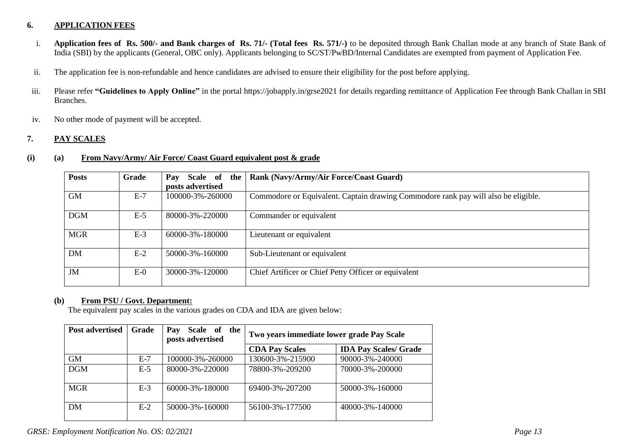#### **6. APPLICATION FEES**

- i. **Application fees of Rs. 500/- and Bank charges of Rs. 71/- (Total fees Rs. 571/-)** to be deposited through Bank Challan mode at any branch of State Bank of India (SBI) by the applicants (General, OBC only). Applicants belonging to SC/ST/PwBD/Internal Candidates are exempted from payment of Application Fee.
- ii. The application fee is non-refundable and hence candidates are advised to ensure their eligibility for the post before applying.
- iii. Please refer **"Guidelines to Apply Online"** in the portal https://jobapply.in/grse2021 for details regarding remittance of Application Fee through Bank Challan in SBI Branches.
- iv. No other mode of payment will be accepted.

#### **7. PAY SCALES**

#### **(i) (a) From Navy/Army/ Air Force/ Coast Guard equivalent post & grade**

| <b>Posts</b> | Grade | Pay<br>Scale of the | Rank (Navy/Army/Air Force/Coast Guard)                                             |
|--------------|-------|---------------------|------------------------------------------------------------------------------------|
|              |       | posts advertised    |                                                                                    |
| <b>GM</b>    | $E-7$ | 100000-3%-260000    | Commodore or Equivalent. Captain drawing Commodore rank pay will also be eligible. |
| <b>DGM</b>   | $E-5$ | 80000-3%-220000     | Commander or equivalent                                                            |
| <b>MGR</b>   | $E-3$ | 60000-3%-180000     | Lieutenant or equivalent                                                           |
| <b>DM</b>    | $E-2$ | 50000-3%-160000     | Sub-Lieutenant or equivalent                                                       |
| JM           | $E-0$ | 30000-3%-120000     | Chief Artificer or Chief Petty Officer or equivalent                               |

#### **(b) From PSU / Govt. Department:**

The equivalent pay scales in the various grades on CDA and IDA are given below:

| <b>Post advertised</b> | Grade | Scale of the<br>Pay<br>posts advertised | Two years immediate lower grade Pay Scale |                              |
|------------------------|-------|-----------------------------------------|-------------------------------------------|------------------------------|
|                        |       |                                         | <b>CDA Pay Scales</b>                     | <b>IDA Pay Scales/ Grade</b> |
| <b>GM</b>              | $E-7$ | 100000-3%-260000                        | 130600-3%-215900                          | 90000-3%-240000              |
| <b>DGM</b>             | $E-5$ | 80000-3%-220000                         | 78800-3%-209200                           | 70000-3%-200000              |
| <b>MGR</b>             | $E-3$ | $60000 - 3\% - 180000$                  | 69400-3%-207200                           | 50000-3%-160000              |
| DM                     | $E-2$ | 50000-3%-160000                         | 56100-3%-177500                           | 40000-3%-140000              |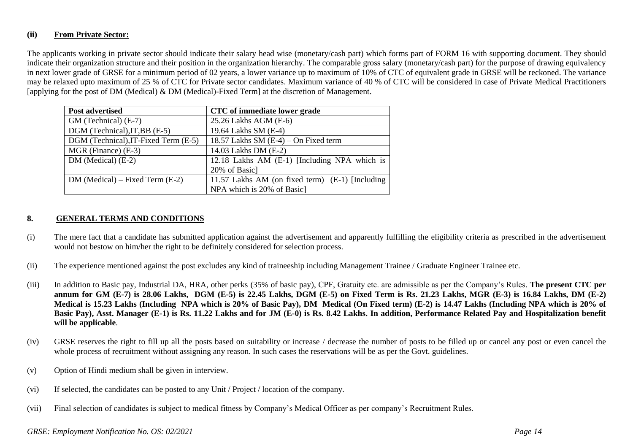#### **(ii) From Private Sector:**

The applicants working in private sector should indicate their salary head wise (monetary/cash part) which forms part of FORM 16 with supporting document. They should indicate their organization structure and their position in the organization hierarchy. The comparable gross salary (monetary/cash part) for the purpose of drawing equivalency in next lower grade of GRSE for a minimum period of 02 years, a lower variance up to maximum of 10% of CTC of equivalent grade in GRSE will be reckoned. The variance may be relaxed upto maximum of 25 % of CTC for Private sector candidates. Maximum variance of 40 % of CTC will be considered in case of Private Medical Practitioners [applying for the post of DM (Medical) & DM (Medical)-Fixed Term] at the discretion of Management.

| <b>Post advertised</b>               | CTC of immediate lower grade                    |
|--------------------------------------|-------------------------------------------------|
| GM (Technical) (E-7)                 | 25.26 Lakhs AGM (E-6)                           |
| DGM (Technical), IT, BB (E-5)        | 19.64 Lakhs SM (E-4)                            |
| DGM (Technical), IT-Fixed Term (E-5) | 18.57 Lakhs SM $(E-4)$ – On Fixed term          |
| $MGR$ (Finance) $(E-3)$              | 14.03 Lakhs DM (E-2)                            |
| $DM (Medical) (E-2)$                 | 12.18 Lakhs AM (E-1) [Including NPA which is    |
|                                      | 20% of Basic]                                   |
| $DM (Medical) - Fixed Term (E-2)$    | 11.57 Lakhs AM (on fixed term) (E-1) [Including |
|                                      | NPA which is 20% of Basic                       |

#### **8. GENERAL TERMS AND CONDITIONS**

- (i) The mere fact that a candidate has submitted application against the advertisement and apparently fulfilling the eligibility criteria as prescribed in the advertisement would not bestow on him/her the right to be definitely considered for selection process.
- (ii) The experience mentioned against the post excludes any kind of traineeship including Management Trainee / Graduate Engineer Trainee etc.
- (iii) In addition to Basic pay, Industrial DA, HRA, other perks (35% of basic pay), CPF, Gratuity etc. are admissible as per the Company's Rules. **The present CTC per annum for GM (E-7) is 28.06 Lakhs, DGM (E-5) is 22.45 Lakhs, DGM (E-5) on Fixed Term is Rs. 21.23 Lakhs, MGR (E-3) is 16.84 Lakhs, DM (E-2) Medical is 15.23 Lakhs (Including NPA which is 20% of Basic Pay), DM Medical (On Fixed term) (E-2) is 14.47 Lakhs (Including NPA which is 20% of Basic Pay), Asst. Manager (E-1) is Rs. 11.22 Lakhs and for JM (E-0) is Rs. 8.42 Lakhs. In addition, Performance Related Pay and Hospitalization benefit will be applicable**.
- (iv) GRSE reserves the right to fill up all the posts based on suitability or increase / decrease the number of posts to be filled up or cancel any post or even cancel the whole process of recruitment without assigning any reason. In such cases the reservations will be as per the Govt. guidelines.
- (v) Option of Hindi medium shall be given in interview.
- (vi) If selected, the candidates can be posted to any Unit / Project / location of the company.
- (vii) Final selection of candidates is subject to medical fitness by Company's Medical Officer as per company's Recruitment Rules.

#### *GRSE: Employment Notification No. OS: 02/2021 Page 14*